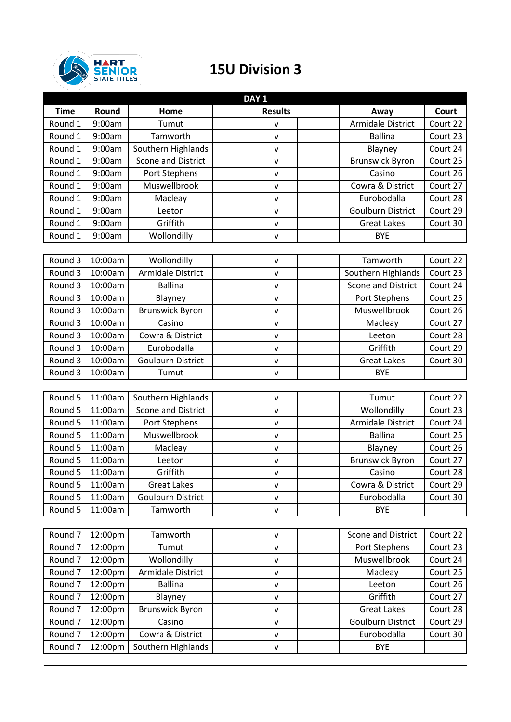

## **15U Division 3**

| DAY <sub>1</sub>   |         |                           |                |                           |            |  |  |
|--------------------|---------|---------------------------|----------------|---------------------------|------------|--|--|
| <b>Time</b>        | Round   | Home                      | <b>Results</b> | Away                      | Court      |  |  |
| Round 1            | 9:00am  | Tumut                     | v              | Armidale District         | Court 22   |  |  |
| Round 1            | 9:00am  | Tamworth                  | $\mathsf{V}$   | <b>Ballina</b>            | Court 23   |  |  |
| Round 1            | 9:00am  | Southern Highlands        | V              | Blayney                   | Court 24   |  |  |
| Round 1            | 9:00am  | Scone and District        | $\mathsf{v}$   | <b>Brunswick Byron</b>    | Court 25   |  |  |
| Round 1            | 9:00am  | Port Stephens             | V              | Casino                    | Court $26$ |  |  |
| Round 1            | 9:00am  | Muswellbrook              | v              | Cowra & District          | Court 27   |  |  |
| Round 1            | 9:00am  | Macleay                   | $\mathsf{v}$   | Eurobodalla               | Court 28   |  |  |
| Round 1            | 9:00am  | Leeton                    | v              | <b>Goulburn District</b>  | Court 29   |  |  |
| Round 1            | 9:00am  | Griffith                  | $\mathsf{v}$   | <b>Great Lakes</b>        | Court 30   |  |  |
| Round 1            | 9:00am  | Wollondilly               | v              | <b>BYE</b>                |            |  |  |
|                    |         |                           |                |                           |            |  |  |
| Round 3            | 10:00am | Wollondilly               | V              | Tamworth                  | Court 22   |  |  |
| Round 3            | 10:00am | <b>Armidale District</b>  | $\mathsf{v}$   | Southern Highlands        | Court 23   |  |  |
| Round 3            | 10:00am | <b>Ballina</b>            | $\mathsf{v}$   | <b>Scone and District</b> | Court 24   |  |  |
| Round 3            | 10:00am | Blayney                   | V              | Port Stephens             | Court 25   |  |  |
| Round 3            | 10:00am | <b>Brunswick Byron</b>    | $\mathsf{v}$   | Muswellbrook              | Court 26   |  |  |
| Round 3            | 10:00am | Casino                    | V              | Macleay                   | Court 27   |  |  |
| Round 3            | 10:00am | Cowra & District          | V              | Leeton                    | Court 28   |  |  |
| Round 3            | 10:00am | Eurobodalla               | $\mathsf{v}$   | Griffith                  | Court 29   |  |  |
| Round 3            | 10:00am | <b>Goulburn District</b>  | $\mathsf{v}$   | <b>Great Lakes</b>        | Court 30   |  |  |
| Round 3            | 10:00am | Tumut                     | $\mathsf{v}$   | <b>BYE</b>                |            |  |  |
|                    |         |                           |                |                           |            |  |  |
| Round 5            | 11:00am | Southern Highlands        | v              | Tumut                     | Court 22   |  |  |
| Round 5            | 11:00am | <b>Scone and District</b> | $\mathsf{v}$   | Wollondilly               | Court 23   |  |  |
| Round 5            | 11:00am | Port Stephens             | $\mathsf{V}$   | Armidale District         | Court 24   |  |  |
| Round 5            | 11:00am | Muswellbrook              | V              | <b>Ballina</b>            | Court 25   |  |  |
| Round 5            | 11:00am | Macleay                   | v              | Blayney                   | Court 26   |  |  |
| Round 5            | 11:00am | Leeton                    | V              | <b>Brunswick Byron</b>    | Court 27   |  |  |
| Round 5            | 11:00am | Griffith                  | $\mathsf{V}$   | Casino                    | Court 28   |  |  |
| Round 5            | 11:00am | <b>Great Lakes</b>        | $\mathsf{V}$   | Cowra & District          | Court 29   |  |  |
| Round 5            | 11:00am | <b>Goulburn District</b>  | V              | Eurobodalla               | Court 30   |  |  |
| Round 5            | 11:00am | Tamworth                  | ${\sf V}$      | <b>BYE</b>                |            |  |  |
|                    |         |                           |                |                           |            |  |  |
| Round 7            | 12:00pm | Tamworth                  | v              | Scone and District        | Court 22   |  |  |
| Round <sub>7</sub> | 12:00pm | Tumut                     | v              | <b>Port Stephens</b>      | Court 23   |  |  |
| Round 7            | 12:00pm | Wollondilly               | $\mathsf{v}$   | Muswellbrook              | Court 24   |  |  |
| Round 7            | 12:00pm | Armidale District         | v              | Macleay                   | Court 25   |  |  |
| Round 7            | 12:00pm | <b>Ballina</b>            | $\mathsf{v}$   | Leeton                    | Court 26   |  |  |
| Round 7            | 12:00pm | Blayney                   | v              | Griffith                  | Court 27   |  |  |
| Round 7            | 12:00pm | <b>Brunswick Byron</b>    | $\mathsf{V}$   | <b>Great Lakes</b>        | Court 28   |  |  |
| Round 7            | 12:00pm | Casino                    | v              | <b>Goulburn District</b>  | Court 29   |  |  |
| Round 7            | 12:00pm | Cowra & District          | v              | Eurobodalla               | Court 30   |  |  |
| Round <sub>7</sub> | 12:00pm | Southern Highlands        | v              | <b>BYE</b>                |            |  |  |
|                    |         |                           |                |                           |            |  |  |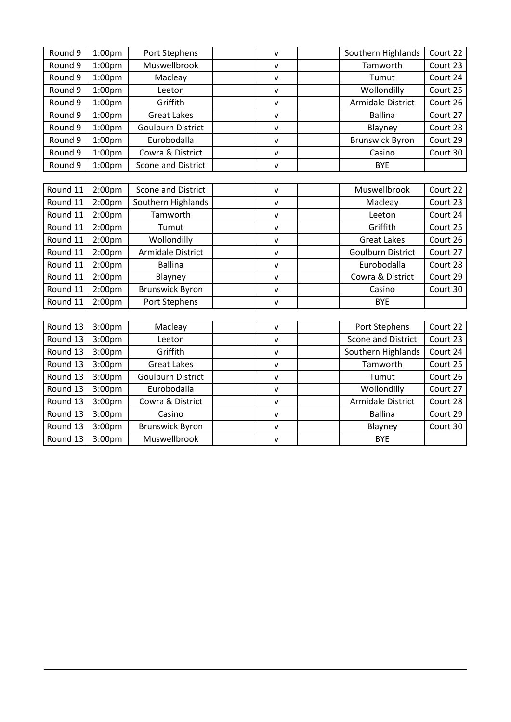| Round 9  | 1:00 <sub>pm</sub> | Port Stephens            | V            | Southern Highlands        | Court 22 |
|----------|--------------------|--------------------------|--------------|---------------------------|----------|
| Round 9  | 1:00pm             | Muswellbrook             | v            | Tamworth                  | Court 23 |
| Round 9  | 1:00 <sub>pm</sub> | Macleay                  | $\mathsf{v}$ | Tumut                     | Court 24 |
| Round 9  | 1:00 <sub>pm</sub> | Leeton                   | $\mathsf{V}$ | Wollondilly               | Court 25 |
| Round 9  | 1:00 <sub>pm</sub> | Griffith                 | $\mathsf{v}$ | Armidale District         | Court 26 |
| Round 9  | 1:00 <sub>pm</sub> | <b>Great Lakes</b>       | $\mathsf{v}$ | <b>Ballina</b>            | Court 27 |
| Round 9  | 1:00 <sub>pm</sub> | <b>Goulburn District</b> | $\mathsf{V}$ | Blayney                   | Court 28 |
| Round 9  | 1:00 <sub>pm</sub> | Eurobodalla              | $\mathsf{v}$ | <b>Brunswick Byron</b>    | Court 29 |
| Round 9  | 1:00 <sub>pm</sub> | Cowra & District         | $\mathsf{V}$ | Casino                    | Court 30 |
| Round 9  | 1:00 <sub>pm</sub> | Scone and District       | $\mathsf{v}$ | <b>BYE</b>                |          |
|          |                    |                          |              |                           |          |
| Round 11 | 2:00 <sub>pm</sub> | Scone and District       | $\mathsf{v}$ | Muswellbrook              | Court 22 |
| Round 11 | 2:00 <sub>pm</sub> | Southern Highlands       | $\mathsf{v}$ | Macleay                   | Court 23 |
| Round 11 | 2:00pm             | Tamworth                 | V            | Leeton                    | Court 24 |
| Round 11 | 2:00 <sub>pm</sub> | Tumut                    | $\mathsf{V}$ | Griffith                  | Court 25 |
| Round 11 | 2:00pm             | Wollondilly              | $\mathsf{V}$ | <b>Great Lakes</b>        | Court 26 |
| Round 11 | 2:00 <sub>pm</sub> | <b>Armidale District</b> | V            | <b>Goulburn District</b>  | Court 27 |
| Round 11 | 2:00 <sub>pm</sub> | <b>Ballina</b>           | $\mathsf{V}$ | Eurobodalla               | Court 28 |
| Round 11 | 2:00 <sub>pm</sub> | Blayney                  | $\mathsf{V}$ | Cowra & District          | Court 29 |
| Round 11 | 2:00 <sub>pm</sub> | <b>Brunswick Byron</b>   | V            | Casino                    | Court 30 |
| Round 11 | 2:00 <sub>pm</sub> | Port Stephens            | $\mathsf{v}$ | <b>BYE</b>                |          |
|          |                    |                          |              |                           |          |
| Round 13 | 3:00 <sub>pm</sub> | Macleay                  | $\mathsf{v}$ | Port Stephens             | Court 22 |
| Round 13 | 3:00 <sub>pm</sub> | Leeton                   | $\sf V$      | <b>Scone and District</b> | Court 23 |
| Round 13 | 3:00pm             | Griffith                 | $\mathsf{V}$ | Southern Highlands        | Court 24 |
| Round 13 | 3:00 <sub>pm</sub> | <b>Great Lakes</b>       | $\mathsf{v}$ | Tamworth                  | Court 25 |
| Round 13 | 3:00pm             | <b>Goulburn District</b> | $\mathsf{V}$ | Tumut                     | Court 26 |
| Round 13 | 3:00pm             | Eurobodalla              | $\mathsf{V}$ | Wollondilly               | Court 27 |
| Round 13 | 3:00 <sub>pm</sub> | Cowra & District         | v            | <b>Armidale District</b>  | Court 28 |
| Round 13 | 3:00pm             | Casino                   | $\sf V$      | <b>Ballina</b>            | Court 29 |
| Round 13 | 3:00pm             | <b>Brunswick Byron</b>   | $\mathsf{V}$ | Blayney                   | Court 30 |
| Round 13 | 3:00 <sub>pm</sub> | Muswellbrook             | $\mathsf{V}$ | <b>BYE</b>                |          |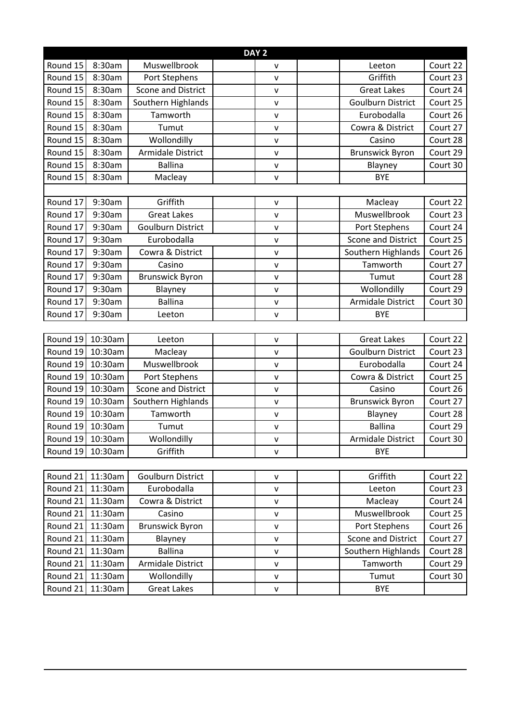| DAY <sub>2</sub> |         |                          |              |                                       |  |  |  |  |
|------------------|---------|--------------------------|--------------|---------------------------------------|--|--|--|--|
| Round 15         | 8:30am  | Muswellbrook             | V            | Court 22<br>Leeton                    |  |  |  |  |
| Round 15         | 8:30am  | Port Stephens            | $\mathsf{v}$ | Griffith<br>Court 23                  |  |  |  |  |
| Round 15         | 8:30am  | Scone and District       | $\mathsf{V}$ | <b>Great Lakes</b><br>Court 24        |  |  |  |  |
| Round 15         | 8:30am  | Southern Highlands       | $\mathsf{v}$ | Court 25<br><b>Goulburn District</b>  |  |  |  |  |
| Round 15         | 8:30am  | Tamworth                 | $\mathsf{v}$ | Eurobodalla<br>Court 26               |  |  |  |  |
| Round 15         | 8:30am  | Tumut                    | $\sf V$      | Court 27<br>Cowra & District          |  |  |  |  |
| Round 15         | 8:30am  | Wollondilly              | $\mathsf{V}$ | Court 28<br>Casino                    |  |  |  |  |
| Round 15         | 8:30am  | Armidale District        | $\sf V$      | Court 29<br><b>Brunswick Byron</b>    |  |  |  |  |
| Round 15         | 8:30am  | <b>Ballina</b>           | $\sf V$      | Court 30<br>Blayney                   |  |  |  |  |
| Round 15         | 8:30am  | Macleay                  | $\mathsf{V}$ | <b>BYE</b>                            |  |  |  |  |
|                  |         |                          |              |                                       |  |  |  |  |
| Round 17         | 9:30am  | Griffith                 | $\sf V$      | Court 22<br>Macleay                   |  |  |  |  |
| Round 17         | 9:30am  | <b>Great Lakes</b>       | $\mathsf{V}$ | Muswellbrook<br>Court 23              |  |  |  |  |
| Round 17         | 9:30am  | <b>Goulburn District</b> | v            | Court 24<br>Port Stephens             |  |  |  |  |
| Round 17         | 9:30am  | Eurobodalla              | $\mathsf{v}$ | <b>Scone and District</b><br>Court 25 |  |  |  |  |
| Round 17         | 9:30am  | Cowra & District         | $\mathsf{V}$ | Southern Highlands<br>Court 26        |  |  |  |  |
| Round 17         | 9:30am  | Casino                   | $\mathsf{V}$ | Tamworth<br>Court 27                  |  |  |  |  |
| Round 17         | 9:30am  | <b>Brunswick Byron</b>   | $\mathsf{v}$ | Court 28<br>Tumut                     |  |  |  |  |
| Round 17         | 9:30am  | Blayney                  | $\mathsf{v}$ | Wollondilly<br>Court 29               |  |  |  |  |
| Round 17         | 9:30am  | <b>Ballina</b>           | $\mathsf{V}$ | Armidale District<br>Court 30         |  |  |  |  |
| Round 17         | 9:30am  | Leeton                   | $\mathsf{v}$ | <b>BYE</b>                            |  |  |  |  |
|                  |         |                          |              |                                       |  |  |  |  |
| Round 19         | 10:30am | Leeton                   | $\mathsf{V}$ | Court 22<br><b>Great Lakes</b>        |  |  |  |  |
| Round 19         | 10:30am | Macleay                  | $\mathsf{v}$ | <b>Goulburn District</b><br>Court 23  |  |  |  |  |
| Round 19         | 10:30am | Muswellbrook             | $\mathsf{v}$ | Eurobodalla<br>Court 24               |  |  |  |  |
| Round 19         | 10:30am | Port Stephens            | $\mathsf{V}$ | Court 25<br>Cowra & District          |  |  |  |  |
| Round 19         | 10:30am | Scone and District       | $\sf V$      | Court 26<br>Casino                    |  |  |  |  |
| Round 19         | 10:30am | Southern Highlands       | $\mathsf{v}$ | Court 27<br><b>Brunswick Byron</b>    |  |  |  |  |
| Round 19         | 10:30am | Tamworth                 | $\mathsf{V}$ | Blayney<br>Court 28                   |  |  |  |  |
| Round 19         | 10:30am | Tumut                    | $\mathsf{V}$ | <b>Ballina</b><br>Court 29            |  |  |  |  |
| Round 19         | 10:30am | Wollondilly              | $\mathsf{V}$ | Armidale District<br>Court 30         |  |  |  |  |
| Round 19         | 10:30am | Griffith                 | $\mathsf{v}$ | <b>BYE</b>                            |  |  |  |  |
|                  |         |                          |              |                                       |  |  |  |  |
| Round 21         | 11:30am | <b>Goulburn District</b> | $\mathsf{V}$ | Griffith<br>Court 22                  |  |  |  |  |
| Round 21         | 11:30am | Eurobodalla              | $\mathsf{V}$ | Court 23<br>Leeton                    |  |  |  |  |
| Round 21         | 11:30am | Cowra & District         | $\mathsf{V}$ | Court 24<br>Macleay                   |  |  |  |  |
| Round 21         | 11:30am | Casino                   | $\mathsf{V}$ | Muswellbrook<br>Court 25              |  |  |  |  |
| Round 21         | 11:30am | <b>Brunswick Byron</b>   | $\mathsf{V}$ | <b>Port Stephens</b><br>Court 26      |  |  |  |  |
| Round 21         | 11:30am | Blayney                  | $\mathsf{V}$ | Scone and District<br>Court 27        |  |  |  |  |
| Round 21         | 11:30am | <b>Ballina</b>           | $\mathsf{V}$ | Southern Highlands<br>Court 28        |  |  |  |  |
| Round 21         | 11:30am | Armidale District        | $\mathsf{V}$ | Tamworth<br>Court 29                  |  |  |  |  |
| Round 21         | 11:30am | Wollondilly              | $\mathsf{V}$ | Court 30<br>Tumut                     |  |  |  |  |
| Round 21         | 11:30am | <b>Great Lakes</b>       | v            | BYE                                   |  |  |  |  |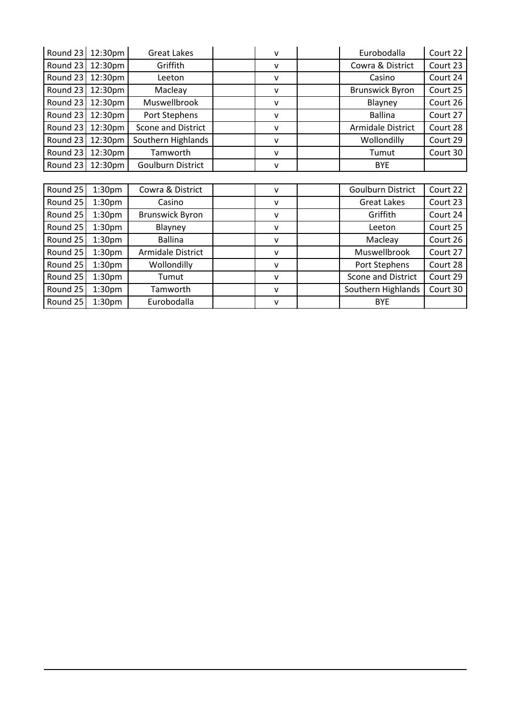| Round 23 | 12:30pm            | <b>Great Lakes</b>       | v            | Eurobodalla              | Court 22 |
|----------|--------------------|--------------------------|--------------|--------------------------|----------|
| Round 23 | 12:30pm            | Griffith                 | v            | Cowra & District         | Court 23 |
| Round 23 | 12:30pm            | Leeton                   | v            | Casino                   | Court 24 |
| Round 23 | 12:30pm            | Macleay                  | $\mathsf{V}$ | <b>Brunswick Byron</b>   | Court 25 |
| Round 23 | 12:30pm            | Muswellbrook             | $\mathsf{v}$ | Blayney                  | Court 26 |
| Round 23 | 12:30pm            | Port Stephens            | $\mathsf{v}$ | <b>Ballina</b>           | Court 27 |
| Round 23 | 12:30pm            | Scone and District       | $\mathsf{V}$ | Armidale District        | Court 28 |
| Round 23 | 12:30pm            | Southern Highlands       | $\mathsf{v}$ | Wollondilly              | Court 29 |
| Round 23 | 12:30pm            | Tamworth                 | v            | Tumut                    | Court 30 |
| Round 23 | 12:30pm            | <b>Goulburn District</b> | $\mathsf{V}$ | <b>BYE</b>               |          |
|          |                    |                          |              |                          |          |
| Round 25 | 1:30 <sub>pm</sub> | Cowra & District         | $\mathsf{V}$ | <b>Goulburn District</b> | Court 22 |
| Round 25 | 1:30 <sub>pm</sub> | Casino                   | $\mathsf{v}$ | <b>Great Lakes</b>       | Court 23 |
| Round 25 | 1:30 <sub>pm</sub> | <b>Brunswick Byron</b>   | $\mathsf{V}$ | Griffith                 | Court 24 |
| Round 25 | 1:30 <sub>pm</sub> | Blayney                  | $\mathsf{v}$ | Leeton                   | Court 25 |
| Round 25 | 1:30 <sub>pm</sub> | <b>Ballina</b>           | $\mathsf{v}$ | Macleay                  | Court 26 |
| Round 25 | 1:30 <sub>pm</sub> | Armidale District        | v            | Muswellbrook             | Court 27 |
| Round 25 | 1:30 <sub>pm</sub> | Wollondilly              | v            | Port Stephens            | Court 28 |
| Round 25 | 1:30 <sub>pm</sub> | Tumut                    | $\mathsf{v}$ | Scone and District       | Court 29 |
| Round 25 | 1:30 <sub>pm</sub> | Tamworth                 | $\mathsf{V}$ | Southern Highlands       | Court 30 |
| Round 25 | 1:30 <sub>pm</sub> | Eurobodalla              | $\mathsf{v}$ | <b>BYE</b>               |          |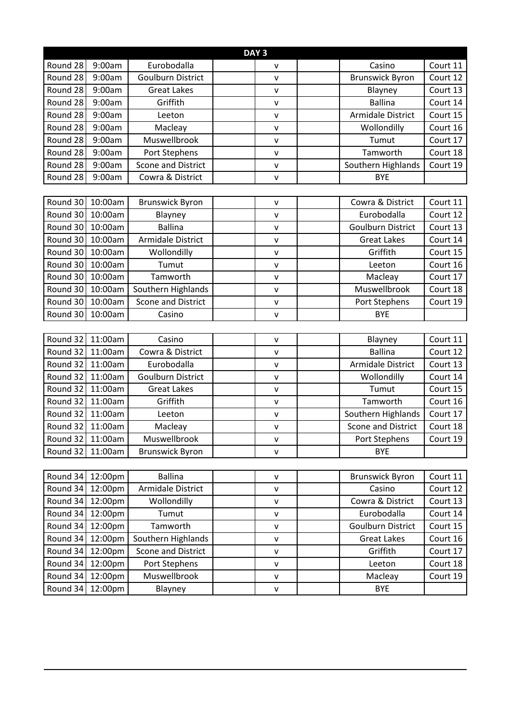| Round 28<br>Eurobodalla<br>9:00am<br>Casino<br>Court 11<br>$\mathsf{V}$<br>Court 12<br>Round 28<br>9:00am<br><b>Goulburn District</b><br><b>Brunswick Byron</b><br>$\mathsf{V}$<br>Round 28<br>9:00am<br><b>Great Lakes</b><br>Court 13<br>Blayney<br>$\mathsf{V}$<br><b>Ballina</b><br>Round 28<br>9:00am<br>Griffith<br>Court 14<br>V<br>Round 28<br><b>Armidale District</b><br>Court 15<br>9:00am<br>Leeton<br>$\mathsf{v}$<br>Round 28<br>Court 16<br>9:00am<br>Wollondilly<br>Macleay<br>$\mathsf{V}$<br>Muswellbrook<br>Court 17<br>Round 28<br>9:00am<br>Tumut<br>$\mathsf{V}$<br>Round 28<br>9:00am<br>Court 18<br>Port Stephens<br>Tamworth<br>$\mathsf{V}$<br>Round 28<br>Scone and District<br>Southern Highlands<br>Court 19<br>9:00am<br>$\mathsf{V}$<br>Round 28<br>9:00am<br>Cowra & District<br><b>BYE</b><br>$\mathsf{v}$<br>Round 30<br>10:00am<br>Cowra & District<br>Court 11<br><b>Brunswick Byron</b><br>$\mathsf{V}$<br>Round 30<br>10:00am<br>Eurobodalla<br>Court 12<br>Blayney<br>$\mathsf{v}$<br>Round 30<br><b>Ballina</b><br><b>Goulburn District</b><br>Court 13<br>10:00am<br>$\mathsf{V}$<br>Round 30<br>10:00am<br>Armidale District<br>Court 14<br><b>Great Lakes</b><br>$\mathsf{v}$<br>Round 30<br>Griffith<br>Court 15<br>10:00am<br>Wollondilly<br>V<br>Round 30<br>10:00am<br>Court 16<br>Tumut<br>Leeton<br>$\mathsf{v}$<br>Tamworth<br>Round 30<br>10:00am<br>Macleay<br>Court 17<br>$\mathsf{V}$<br>Muswellbrook<br>Round 30<br>10:00am<br>Southern Highlands<br>Court 18<br>$\mathsf{v}$<br>Round 30<br>10:00am<br><b>Scone and District</b><br>Port Stephens<br>Court 19<br>$\mathsf{V}$<br>Round 30<br><b>BYE</b><br>10:00am<br>Casino<br>v<br>Round 32<br>11:00am<br>Court 11<br>Casino<br>Blayney<br>V<br>Round 32<br><b>Ballina</b><br>Court 12<br>11:00am<br>Cowra & District<br>$\mathsf{V}$<br>Round 32<br>11:00am<br>Eurobodalla<br>Armidale District<br>Court 13<br>$\mathsf{V}$<br>Round 32<br><b>Goulburn District</b><br>Court 14<br>11:00am<br>Wollondilly<br>$\mathsf{V}$<br>Round 32<br>11:00am<br>Court 15<br><b>Great Lakes</b><br>Tumut<br>$\mathsf{V}$<br>Round 32<br>Griffith<br>11:00am<br>Tamworth<br>Court 16<br>$\mathsf{V}$<br>Round 32<br>11:00am<br>Southern Highlands<br>Court 17<br>Leeton<br>$\mathsf{V}$<br>Round 32<br>11:00am<br>Scone and District<br>Court 18<br>Macleay<br>$\mathsf{V}$<br>Round 32<br>11:00am<br>Muswellbrook<br>Port Stephens<br>Court 19<br>v<br>Round 32<br>11:00am<br><b>Brunswick Byron</b><br><b>BYE</b><br>$\mathsf{V}$<br>Round 34<br>Court 11<br><b>Ballina</b><br>12:00pm<br><b>Brunswick Byron</b><br>$\mathsf{V}$<br>Round 34<br>Armidale District<br>Court 12<br>12:00pm<br>Casino<br>$\mathsf{V}$<br>Round 34<br>12:00pm<br>Wollondilly<br>Cowra & District<br>Court 13<br>$\mathsf{V}$<br>Eurobodalla<br>Round 34<br>12:00pm<br>Tumut<br>Court 14<br>V<br>Round 34<br>Tamworth<br><b>Goulburn District</b><br>Court 15<br>12:00pm<br>v<br>Round 34<br>12:00pm<br>Southern Highlands<br><b>Great Lakes</b><br>Court 16<br>$\mathsf{V}$<br>Scone and District<br>Round 34<br>Griffith<br>Court 17<br>12:00pm<br>$\mathsf{V}$ | DAY <sub>3</sub> |  |  |  |  |  |  |  |
|---------------------------------------------------------------------------------------------------------------------------------------------------------------------------------------------------------------------------------------------------------------------------------------------------------------------------------------------------------------------------------------------------------------------------------------------------------------------------------------------------------------------------------------------------------------------------------------------------------------------------------------------------------------------------------------------------------------------------------------------------------------------------------------------------------------------------------------------------------------------------------------------------------------------------------------------------------------------------------------------------------------------------------------------------------------------------------------------------------------------------------------------------------------------------------------------------------------------------------------------------------------------------------------------------------------------------------------------------------------------------------------------------------------------------------------------------------------------------------------------------------------------------------------------------------------------------------------------------------------------------------------------------------------------------------------------------------------------------------------------------------------------------------------------------------------------------------------------------------------------------------------------------------------------------------------------------------------------------------------------------------------------------------------------------------------------------------------------------------------------------------------------------------------------------------------------------------------------------------------------------------------------------------------------------------------------------------------------------------------------------------------------------------------------------------------------------------------------------------------------------------------------------------------------------------------------------------------------------------------------------------------------------------------------------------------------------------------------------------------------------------------------------------------------------------------------------------------------------------------------------------------------------------------------------------------------------------------------------------------------------------------------------------------------------------------------------------------------------------------------------------------------|------------------|--|--|--|--|--|--|--|
|                                                                                                                                                                                                                                                                                                                                                                                                                                                                                                                                                                                                                                                                                                                                                                                                                                                                                                                                                                                                                                                                                                                                                                                                                                                                                                                                                                                                                                                                                                                                                                                                                                                                                                                                                                                                                                                                                                                                                                                                                                                                                                                                                                                                                                                                                                                                                                                                                                                                                                                                                                                                                                                                                                                                                                                                                                                                                                                                                                                                                                                                                                                                             |                  |  |  |  |  |  |  |  |
|                                                                                                                                                                                                                                                                                                                                                                                                                                                                                                                                                                                                                                                                                                                                                                                                                                                                                                                                                                                                                                                                                                                                                                                                                                                                                                                                                                                                                                                                                                                                                                                                                                                                                                                                                                                                                                                                                                                                                                                                                                                                                                                                                                                                                                                                                                                                                                                                                                                                                                                                                                                                                                                                                                                                                                                                                                                                                                                                                                                                                                                                                                                                             |                  |  |  |  |  |  |  |  |
|                                                                                                                                                                                                                                                                                                                                                                                                                                                                                                                                                                                                                                                                                                                                                                                                                                                                                                                                                                                                                                                                                                                                                                                                                                                                                                                                                                                                                                                                                                                                                                                                                                                                                                                                                                                                                                                                                                                                                                                                                                                                                                                                                                                                                                                                                                                                                                                                                                                                                                                                                                                                                                                                                                                                                                                                                                                                                                                                                                                                                                                                                                                                             |                  |  |  |  |  |  |  |  |
|                                                                                                                                                                                                                                                                                                                                                                                                                                                                                                                                                                                                                                                                                                                                                                                                                                                                                                                                                                                                                                                                                                                                                                                                                                                                                                                                                                                                                                                                                                                                                                                                                                                                                                                                                                                                                                                                                                                                                                                                                                                                                                                                                                                                                                                                                                                                                                                                                                                                                                                                                                                                                                                                                                                                                                                                                                                                                                                                                                                                                                                                                                                                             |                  |  |  |  |  |  |  |  |
|                                                                                                                                                                                                                                                                                                                                                                                                                                                                                                                                                                                                                                                                                                                                                                                                                                                                                                                                                                                                                                                                                                                                                                                                                                                                                                                                                                                                                                                                                                                                                                                                                                                                                                                                                                                                                                                                                                                                                                                                                                                                                                                                                                                                                                                                                                                                                                                                                                                                                                                                                                                                                                                                                                                                                                                                                                                                                                                                                                                                                                                                                                                                             |                  |  |  |  |  |  |  |  |
|                                                                                                                                                                                                                                                                                                                                                                                                                                                                                                                                                                                                                                                                                                                                                                                                                                                                                                                                                                                                                                                                                                                                                                                                                                                                                                                                                                                                                                                                                                                                                                                                                                                                                                                                                                                                                                                                                                                                                                                                                                                                                                                                                                                                                                                                                                                                                                                                                                                                                                                                                                                                                                                                                                                                                                                                                                                                                                                                                                                                                                                                                                                                             |                  |  |  |  |  |  |  |  |
|                                                                                                                                                                                                                                                                                                                                                                                                                                                                                                                                                                                                                                                                                                                                                                                                                                                                                                                                                                                                                                                                                                                                                                                                                                                                                                                                                                                                                                                                                                                                                                                                                                                                                                                                                                                                                                                                                                                                                                                                                                                                                                                                                                                                                                                                                                                                                                                                                                                                                                                                                                                                                                                                                                                                                                                                                                                                                                                                                                                                                                                                                                                                             |                  |  |  |  |  |  |  |  |
|                                                                                                                                                                                                                                                                                                                                                                                                                                                                                                                                                                                                                                                                                                                                                                                                                                                                                                                                                                                                                                                                                                                                                                                                                                                                                                                                                                                                                                                                                                                                                                                                                                                                                                                                                                                                                                                                                                                                                                                                                                                                                                                                                                                                                                                                                                                                                                                                                                                                                                                                                                                                                                                                                                                                                                                                                                                                                                                                                                                                                                                                                                                                             |                  |  |  |  |  |  |  |  |
|                                                                                                                                                                                                                                                                                                                                                                                                                                                                                                                                                                                                                                                                                                                                                                                                                                                                                                                                                                                                                                                                                                                                                                                                                                                                                                                                                                                                                                                                                                                                                                                                                                                                                                                                                                                                                                                                                                                                                                                                                                                                                                                                                                                                                                                                                                                                                                                                                                                                                                                                                                                                                                                                                                                                                                                                                                                                                                                                                                                                                                                                                                                                             |                  |  |  |  |  |  |  |  |
|                                                                                                                                                                                                                                                                                                                                                                                                                                                                                                                                                                                                                                                                                                                                                                                                                                                                                                                                                                                                                                                                                                                                                                                                                                                                                                                                                                                                                                                                                                                                                                                                                                                                                                                                                                                                                                                                                                                                                                                                                                                                                                                                                                                                                                                                                                                                                                                                                                                                                                                                                                                                                                                                                                                                                                                                                                                                                                                                                                                                                                                                                                                                             |                  |  |  |  |  |  |  |  |
|                                                                                                                                                                                                                                                                                                                                                                                                                                                                                                                                                                                                                                                                                                                                                                                                                                                                                                                                                                                                                                                                                                                                                                                                                                                                                                                                                                                                                                                                                                                                                                                                                                                                                                                                                                                                                                                                                                                                                                                                                                                                                                                                                                                                                                                                                                                                                                                                                                                                                                                                                                                                                                                                                                                                                                                                                                                                                                                                                                                                                                                                                                                                             |                  |  |  |  |  |  |  |  |
|                                                                                                                                                                                                                                                                                                                                                                                                                                                                                                                                                                                                                                                                                                                                                                                                                                                                                                                                                                                                                                                                                                                                                                                                                                                                                                                                                                                                                                                                                                                                                                                                                                                                                                                                                                                                                                                                                                                                                                                                                                                                                                                                                                                                                                                                                                                                                                                                                                                                                                                                                                                                                                                                                                                                                                                                                                                                                                                                                                                                                                                                                                                                             |                  |  |  |  |  |  |  |  |
|                                                                                                                                                                                                                                                                                                                                                                                                                                                                                                                                                                                                                                                                                                                                                                                                                                                                                                                                                                                                                                                                                                                                                                                                                                                                                                                                                                                                                                                                                                                                                                                                                                                                                                                                                                                                                                                                                                                                                                                                                                                                                                                                                                                                                                                                                                                                                                                                                                                                                                                                                                                                                                                                                                                                                                                                                                                                                                                                                                                                                                                                                                                                             |                  |  |  |  |  |  |  |  |
|                                                                                                                                                                                                                                                                                                                                                                                                                                                                                                                                                                                                                                                                                                                                                                                                                                                                                                                                                                                                                                                                                                                                                                                                                                                                                                                                                                                                                                                                                                                                                                                                                                                                                                                                                                                                                                                                                                                                                                                                                                                                                                                                                                                                                                                                                                                                                                                                                                                                                                                                                                                                                                                                                                                                                                                                                                                                                                                                                                                                                                                                                                                                             |                  |  |  |  |  |  |  |  |
|                                                                                                                                                                                                                                                                                                                                                                                                                                                                                                                                                                                                                                                                                                                                                                                                                                                                                                                                                                                                                                                                                                                                                                                                                                                                                                                                                                                                                                                                                                                                                                                                                                                                                                                                                                                                                                                                                                                                                                                                                                                                                                                                                                                                                                                                                                                                                                                                                                                                                                                                                                                                                                                                                                                                                                                                                                                                                                                                                                                                                                                                                                                                             |                  |  |  |  |  |  |  |  |
|                                                                                                                                                                                                                                                                                                                                                                                                                                                                                                                                                                                                                                                                                                                                                                                                                                                                                                                                                                                                                                                                                                                                                                                                                                                                                                                                                                                                                                                                                                                                                                                                                                                                                                                                                                                                                                                                                                                                                                                                                                                                                                                                                                                                                                                                                                                                                                                                                                                                                                                                                                                                                                                                                                                                                                                                                                                                                                                                                                                                                                                                                                                                             |                  |  |  |  |  |  |  |  |
|                                                                                                                                                                                                                                                                                                                                                                                                                                                                                                                                                                                                                                                                                                                                                                                                                                                                                                                                                                                                                                                                                                                                                                                                                                                                                                                                                                                                                                                                                                                                                                                                                                                                                                                                                                                                                                                                                                                                                                                                                                                                                                                                                                                                                                                                                                                                                                                                                                                                                                                                                                                                                                                                                                                                                                                                                                                                                                                                                                                                                                                                                                                                             |                  |  |  |  |  |  |  |  |
|                                                                                                                                                                                                                                                                                                                                                                                                                                                                                                                                                                                                                                                                                                                                                                                                                                                                                                                                                                                                                                                                                                                                                                                                                                                                                                                                                                                                                                                                                                                                                                                                                                                                                                                                                                                                                                                                                                                                                                                                                                                                                                                                                                                                                                                                                                                                                                                                                                                                                                                                                                                                                                                                                                                                                                                                                                                                                                                                                                                                                                                                                                                                             |                  |  |  |  |  |  |  |  |
|                                                                                                                                                                                                                                                                                                                                                                                                                                                                                                                                                                                                                                                                                                                                                                                                                                                                                                                                                                                                                                                                                                                                                                                                                                                                                                                                                                                                                                                                                                                                                                                                                                                                                                                                                                                                                                                                                                                                                                                                                                                                                                                                                                                                                                                                                                                                                                                                                                                                                                                                                                                                                                                                                                                                                                                                                                                                                                                                                                                                                                                                                                                                             |                  |  |  |  |  |  |  |  |
|                                                                                                                                                                                                                                                                                                                                                                                                                                                                                                                                                                                                                                                                                                                                                                                                                                                                                                                                                                                                                                                                                                                                                                                                                                                                                                                                                                                                                                                                                                                                                                                                                                                                                                                                                                                                                                                                                                                                                                                                                                                                                                                                                                                                                                                                                                                                                                                                                                                                                                                                                                                                                                                                                                                                                                                                                                                                                                                                                                                                                                                                                                                                             |                  |  |  |  |  |  |  |  |
|                                                                                                                                                                                                                                                                                                                                                                                                                                                                                                                                                                                                                                                                                                                                                                                                                                                                                                                                                                                                                                                                                                                                                                                                                                                                                                                                                                                                                                                                                                                                                                                                                                                                                                                                                                                                                                                                                                                                                                                                                                                                                                                                                                                                                                                                                                                                                                                                                                                                                                                                                                                                                                                                                                                                                                                                                                                                                                                                                                                                                                                                                                                                             |                  |  |  |  |  |  |  |  |
|                                                                                                                                                                                                                                                                                                                                                                                                                                                                                                                                                                                                                                                                                                                                                                                                                                                                                                                                                                                                                                                                                                                                                                                                                                                                                                                                                                                                                                                                                                                                                                                                                                                                                                                                                                                                                                                                                                                                                                                                                                                                                                                                                                                                                                                                                                                                                                                                                                                                                                                                                                                                                                                                                                                                                                                                                                                                                                                                                                                                                                                                                                                                             |                  |  |  |  |  |  |  |  |
|                                                                                                                                                                                                                                                                                                                                                                                                                                                                                                                                                                                                                                                                                                                                                                                                                                                                                                                                                                                                                                                                                                                                                                                                                                                                                                                                                                                                                                                                                                                                                                                                                                                                                                                                                                                                                                                                                                                                                                                                                                                                                                                                                                                                                                                                                                                                                                                                                                                                                                                                                                                                                                                                                                                                                                                                                                                                                                                                                                                                                                                                                                                                             |                  |  |  |  |  |  |  |  |
|                                                                                                                                                                                                                                                                                                                                                                                                                                                                                                                                                                                                                                                                                                                                                                                                                                                                                                                                                                                                                                                                                                                                                                                                                                                                                                                                                                                                                                                                                                                                                                                                                                                                                                                                                                                                                                                                                                                                                                                                                                                                                                                                                                                                                                                                                                                                                                                                                                                                                                                                                                                                                                                                                                                                                                                                                                                                                                                                                                                                                                                                                                                                             |                  |  |  |  |  |  |  |  |
|                                                                                                                                                                                                                                                                                                                                                                                                                                                                                                                                                                                                                                                                                                                                                                                                                                                                                                                                                                                                                                                                                                                                                                                                                                                                                                                                                                                                                                                                                                                                                                                                                                                                                                                                                                                                                                                                                                                                                                                                                                                                                                                                                                                                                                                                                                                                                                                                                                                                                                                                                                                                                                                                                                                                                                                                                                                                                                                                                                                                                                                                                                                                             |                  |  |  |  |  |  |  |  |
|                                                                                                                                                                                                                                                                                                                                                                                                                                                                                                                                                                                                                                                                                                                                                                                                                                                                                                                                                                                                                                                                                                                                                                                                                                                                                                                                                                                                                                                                                                                                                                                                                                                                                                                                                                                                                                                                                                                                                                                                                                                                                                                                                                                                                                                                                                                                                                                                                                                                                                                                                                                                                                                                                                                                                                                                                                                                                                                                                                                                                                                                                                                                             |                  |  |  |  |  |  |  |  |
|                                                                                                                                                                                                                                                                                                                                                                                                                                                                                                                                                                                                                                                                                                                                                                                                                                                                                                                                                                                                                                                                                                                                                                                                                                                                                                                                                                                                                                                                                                                                                                                                                                                                                                                                                                                                                                                                                                                                                                                                                                                                                                                                                                                                                                                                                                                                                                                                                                                                                                                                                                                                                                                                                                                                                                                                                                                                                                                                                                                                                                                                                                                                             |                  |  |  |  |  |  |  |  |
|                                                                                                                                                                                                                                                                                                                                                                                                                                                                                                                                                                                                                                                                                                                                                                                                                                                                                                                                                                                                                                                                                                                                                                                                                                                                                                                                                                                                                                                                                                                                                                                                                                                                                                                                                                                                                                                                                                                                                                                                                                                                                                                                                                                                                                                                                                                                                                                                                                                                                                                                                                                                                                                                                                                                                                                                                                                                                                                                                                                                                                                                                                                                             |                  |  |  |  |  |  |  |  |
|                                                                                                                                                                                                                                                                                                                                                                                                                                                                                                                                                                                                                                                                                                                                                                                                                                                                                                                                                                                                                                                                                                                                                                                                                                                                                                                                                                                                                                                                                                                                                                                                                                                                                                                                                                                                                                                                                                                                                                                                                                                                                                                                                                                                                                                                                                                                                                                                                                                                                                                                                                                                                                                                                                                                                                                                                                                                                                                                                                                                                                                                                                                                             |                  |  |  |  |  |  |  |  |
|                                                                                                                                                                                                                                                                                                                                                                                                                                                                                                                                                                                                                                                                                                                                                                                                                                                                                                                                                                                                                                                                                                                                                                                                                                                                                                                                                                                                                                                                                                                                                                                                                                                                                                                                                                                                                                                                                                                                                                                                                                                                                                                                                                                                                                                                                                                                                                                                                                                                                                                                                                                                                                                                                                                                                                                                                                                                                                                                                                                                                                                                                                                                             |                  |  |  |  |  |  |  |  |
|                                                                                                                                                                                                                                                                                                                                                                                                                                                                                                                                                                                                                                                                                                                                                                                                                                                                                                                                                                                                                                                                                                                                                                                                                                                                                                                                                                                                                                                                                                                                                                                                                                                                                                                                                                                                                                                                                                                                                                                                                                                                                                                                                                                                                                                                                                                                                                                                                                                                                                                                                                                                                                                                                                                                                                                                                                                                                                                                                                                                                                                                                                                                             |                  |  |  |  |  |  |  |  |
|                                                                                                                                                                                                                                                                                                                                                                                                                                                                                                                                                                                                                                                                                                                                                                                                                                                                                                                                                                                                                                                                                                                                                                                                                                                                                                                                                                                                                                                                                                                                                                                                                                                                                                                                                                                                                                                                                                                                                                                                                                                                                                                                                                                                                                                                                                                                                                                                                                                                                                                                                                                                                                                                                                                                                                                                                                                                                                                                                                                                                                                                                                                                             |                  |  |  |  |  |  |  |  |
|                                                                                                                                                                                                                                                                                                                                                                                                                                                                                                                                                                                                                                                                                                                                                                                                                                                                                                                                                                                                                                                                                                                                                                                                                                                                                                                                                                                                                                                                                                                                                                                                                                                                                                                                                                                                                                                                                                                                                                                                                                                                                                                                                                                                                                                                                                                                                                                                                                                                                                                                                                                                                                                                                                                                                                                                                                                                                                                                                                                                                                                                                                                                             |                  |  |  |  |  |  |  |  |
|                                                                                                                                                                                                                                                                                                                                                                                                                                                                                                                                                                                                                                                                                                                                                                                                                                                                                                                                                                                                                                                                                                                                                                                                                                                                                                                                                                                                                                                                                                                                                                                                                                                                                                                                                                                                                                                                                                                                                                                                                                                                                                                                                                                                                                                                                                                                                                                                                                                                                                                                                                                                                                                                                                                                                                                                                                                                                                                                                                                                                                                                                                                                             |                  |  |  |  |  |  |  |  |
|                                                                                                                                                                                                                                                                                                                                                                                                                                                                                                                                                                                                                                                                                                                                                                                                                                                                                                                                                                                                                                                                                                                                                                                                                                                                                                                                                                                                                                                                                                                                                                                                                                                                                                                                                                                                                                                                                                                                                                                                                                                                                                                                                                                                                                                                                                                                                                                                                                                                                                                                                                                                                                                                                                                                                                                                                                                                                                                                                                                                                                                                                                                                             |                  |  |  |  |  |  |  |  |
|                                                                                                                                                                                                                                                                                                                                                                                                                                                                                                                                                                                                                                                                                                                                                                                                                                                                                                                                                                                                                                                                                                                                                                                                                                                                                                                                                                                                                                                                                                                                                                                                                                                                                                                                                                                                                                                                                                                                                                                                                                                                                                                                                                                                                                                                                                                                                                                                                                                                                                                                                                                                                                                                                                                                                                                                                                                                                                                                                                                                                                                                                                                                             |                  |  |  |  |  |  |  |  |
|                                                                                                                                                                                                                                                                                                                                                                                                                                                                                                                                                                                                                                                                                                                                                                                                                                                                                                                                                                                                                                                                                                                                                                                                                                                                                                                                                                                                                                                                                                                                                                                                                                                                                                                                                                                                                                                                                                                                                                                                                                                                                                                                                                                                                                                                                                                                                                                                                                                                                                                                                                                                                                                                                                                                                                                                                                                                                                                                                                                                                                                                                                                                             |                  |  |  |  |  |  |  |  |
|                                                                                                                                                                                                                                                                                                                                                                                                                                                                                                                                                                                                                                                                                                                                                                                                                                                                                                                                                                                                                                                                                                                                                                                                                                                                                                                                                                                                                                                                                                                                                                                                                                                                                                                                                                                                                                                                                                                                                                                                                                                                                                                                                                                                                                                                                                                                                                                                                                                                                                                                                                                                                                                                                                                                                                                                                                                                                                                                                                                                                                                                                                                                             |                  |  |  |  |  |  |  |  |
|                                                                                                                                                                                                                                                                                                                                                                                                                                                                                                                                                                                                                                                                                                                                                                                                                                                                                                                                                                                                                                                                                                                                                                                                                                                                                                                                                                                                                                                                                                                                                                                                                                                                                                                                                                                                                                                                                                                                                                                                                                                                                                                                                                                                                                                                                                                                                                                                                                                                                                                                                                                                                                                                                                                                                                                                                                                                                                                                                                                                                                                                                                                                             |                  |  |  |  |  |  |  |  |
|                                                                                                                                                                                                                                                                                                                                                                                                                                                                                                                                                                                                                                                                                                                                                                                                                                                                                                                                                                                                                                                                                                                                                                                                                                                                                                                                                                                                                                                                                                                                                                                                                                                                                                                                                                                                                                                                                                                                                                                                                                                                                                                                                                                                                                                                                                                                                                                                                                                                                                                                                                                                                                                                                                                                                                                                                                                                                                                                                                                                                                                                                                                                             |                  |  |  |  |  |  |  |  |
| Round 34<br>12:00pm<br>Port Stephens<br>Court 18<br>Leeton<br>$\mathsf{V}$                                                                                                                                                                                                                                                                                                                                                                                                                                                                                                                                                                                                                                                                                                                                                                                                                                                                                                                                                                                                                                                                                                                                                                                                                                                                                                                                                                                                                                                                                                                                                                                                                                                                                                                                                                                                                                                                                                                                                                                                                                                                                                                                                                                                                                                                                                                                                                                                                                                                                                                                                                                                                                                                                                                                                                                                                                                                                                                                                                                                                                                                  |                  |  |  |  |  |  |  |  |
| Muswellbrook<br>Round 34<br>12:00pm<br>Court 19<br>Macleay<br>V                                                                                                                                                                                                                                                                                                                                                                                                                                                                                                                                                                                                                                                                                                                                                                                                                                                                                                                                                                                                                                                                                                                                                                                                                                                                                                                                                                                                                                                                                                                                                                                                                                                                                                                                                                                                                                                                                                                                                                                                                                                                                                                                                                                                                                                                                                                                                                                                                                                                                                                                                                                                                                                                                                                                                                                                                                                                                                                                                                                                                                                                             |                  |  |  |  |  |  |  |  |
| Round 34<br>12:00pm<br><b>BYE</b><br>Blayney<br>$\mathsf{V}$                                                                                                                                                                                                                                                                                                                                                                                                                                                                                                                                                                                                                                                                                                                                                                                                                                                                                                                                                                                                                                                                                                                                                                                                                                                                                                                                                                                                                                                                                                                                                                                                                                                                                                                                                                                                                                                                                                                                                                                                                                                                                                                                                                                                                                                                                                                                                                                                                                                                                                                                                                                                                                                                                                                                                                                                                                                                                                                                                                                                                                                                                |                  |  |  |  |  |  |  |  |